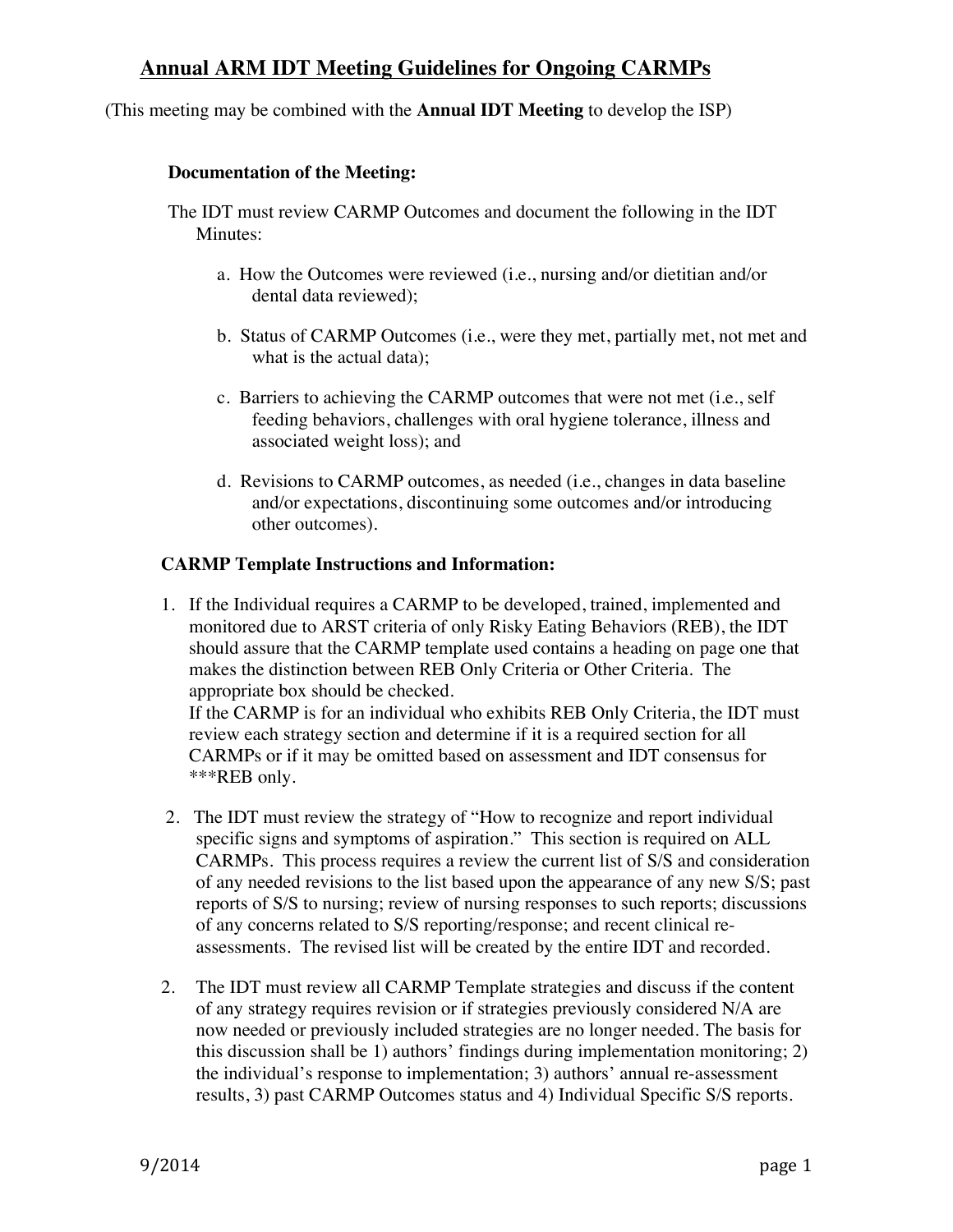## **Annual ARM IDT Meeting Guidelines for Ongoing CARMPs**

(This meeting may be combined with the **Annual IDT Meeting** to develop the ISP)

#### **Documentation of the Meeting:**

The IDT must review CARMP Outcomes and document the following in the IDT Minutes:

- a. How the Outcomes were reviewed (i.e., nursing and/or dietitian and/or dental data reviewed);
- b. Status of CARMP Outcomes (i.e., were they met, partially met, not met and what is the actual data);
- c. Barriers to achieving the CARMP outcomes that were not met (i.e., self feeding behaviors, challenges with oral hygiene tolerance, illness and associated weight loss); and
- d. Revisions to CARMP outcomes, as needed (i.e., changes in data baseline and/or expectations, discontinuing some outcomes and/or introducing other outcomes).

### **CARMP Template Instructions and Information:**

1. If the Individual requires a CARMP to be developed, trained, implemented and monitored due to ARST criteria of only Risky Eating Behaviors (REB), the IDT should assure that the CARMP template used contains a heading on page one that makes the distinction between REB Only Criteria or Other Criteria. The appropriate box should be checked.

If the CARMP is for an individual who exhibits REB Only Criteria, the IDT must review each strategy section and determine if it is a required section for all CARMPs or if it may be omitted based on assessment and IDT consensus for \*\*\*REB only.

- 2. The IDT must review the strategy of "How to recognize and report individual specific signs and symptoms of aspiration." This section is required on ALL CARMPs. This process requires a review the current list of S/S and consideration of any needed revisions to the list based upon the appearance of any new S/S; past reports of S/S to nursing; review of nursing responses to such reports; discussions of any concerns related to S/S reporting/response; and recent clinical reassessments. The revised list will be created by the entire IDT and recorded.
- 2. The IDT must review all CARMP Template strategies and discuss if the content of any strategy requires revision or if strategies previously considered N/A are now needed or previously included strategies are no longer needed. The basis for this discussion shall be 1) authors' findings during implementation monitoring; 2) the individual's response to implementation; 3) authors' annual re-assessment results, 3) past CARMP Outcomes status and 4) Individual Specific S/S reports.